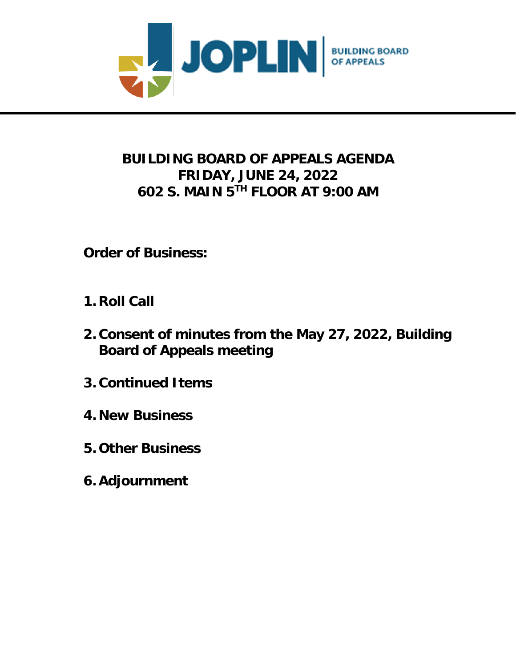

# **BUILDING BOARD OF APPEALS AGENDA FRIDAY, JUNE 24, 2022 602 S. MAIN 5 TH FLOOR AT 9:00 AM**

**Order of Business:**

- **1. Roll Call**
- **2. Consent of minutes from the May 27, 2022, Building Board of Appeals meeting**
- **3. Continued Items**
- **4. New Business**
- **5. Other Business**
- **6. Adjournment**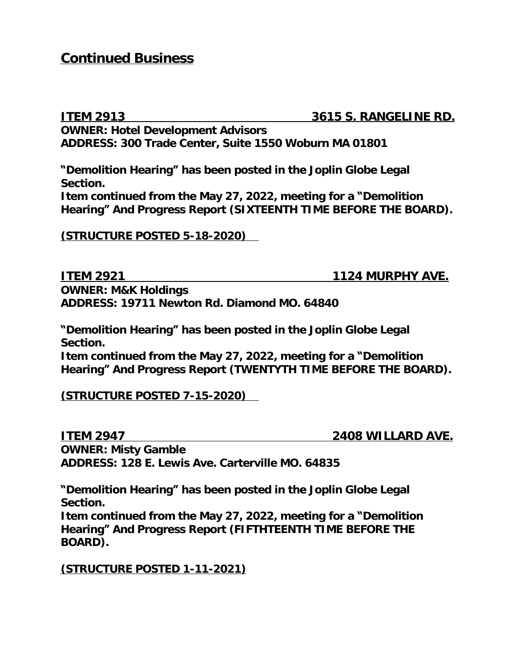### **Continued Business**

**ITEM 2913 3615 S. RANGELINE RD. OWNER: Hotel Development Advisors ADDRESS: 300 Trade Center, Suite 1550 Woburn MA 01801**

**"Demolition Hearing" has been posted in the Joplin Globe Legal Section.**

**Item continued from the May 27, 2022, meeting for a "Demolition Hearing" And Progress Report (SIXTEENTH TIME BEFORE THE BOARD).**

**(STRUCTURE POSTED 5-18-2020)** 

**ITEM 2921 1124 MURPHY AVE.** 

**OWNER: M&K Holdings ADDRESS: 19711 Newton Rd. Diamond MO. 64840**

**"Demolition Hearing" has been posted in the Joplin Globe Legal Section.**

**Item continued from the May 27, 2022, meeting for a "Demolition Hearing" And Progress Report (TWENTYTH TIME BEFORE THE BOARD).**

**(STRUCTURE POSTED 7-15-2020)** 

**ITEM 2947 2408 WILLARD AVE. OWNER: Misty Gamble ADDRESS: 128 E. Lewis Ave. Carterville MO. 64835**

**"Demolition Hearing" has been posted in the Joplin Globe Legal Section.**

**Item continued from the May 27, 2022, meeting for a "Demolition Hearing" And Progress Report (FIFTHTEENTH TIME BEFORE THE BOARD).**

#### **(STRUCTURE POSTED 1-11-2021)**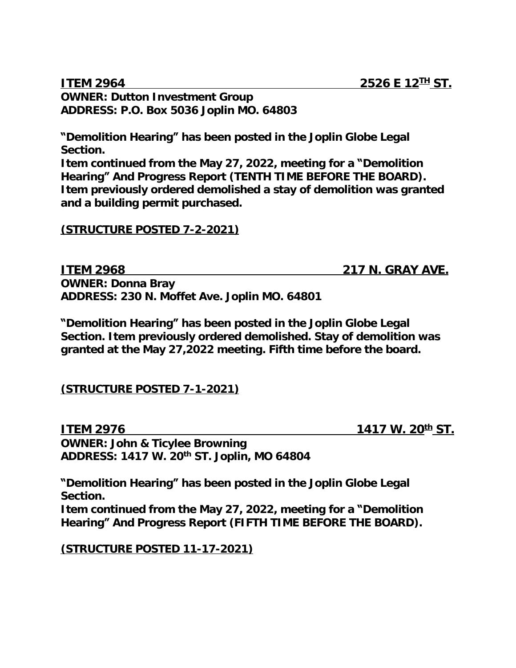#### **ITEM 2964 2526 E 12**<sup>IH</sup> ST. **OWNER: Dutton Investment Group ADDRESS: P.O. Box 5036 Joplin MO. 64803**

**"Demolition Hearing" has been posted in the Joplin Globe Legal Section.**

**Item continued from the May 27, 2022, meeting for a "Demolition Hearing" And Progress Report (TENTH TIME BEFORE THE BOARD). Item previously ordered demolished a stay of demolition was granted and a building permit purchased.**

#### **(STRUCTURE POSTED 7-2-2021)**

**ITEM 2968 217 N. GRAY AVE. OWNER: Donna Bray ADDRESS: 230 N. Moffet Ave. Joplin MO. 64801**

**"Demolition Hearing" has been posted in the Joplin Globe Legal Section. Item previously ordered demolished. Stay of demolition was granted at the May 27,2022 meeting. Fifth time before the board.**

**(STRUCTURE POSTED 7-1-2021)**

**ITEM 2976 1417 W. 20<sup>th</sup> ST. OWNER: John & Ticylee Browning ADDRESS: 1417 W. 20th ST. Joplin, MO 64804**

**"Demolition Hearing" has been posted in the Joplin Globe Legal Section. Item continued from the May 27, 2022, meeting for a "Demolition Hearing" And Progress Report (FIFTH TIME BEFORE THE BOARD).**

**(STRUCTURE POSTED 11-17-2021)**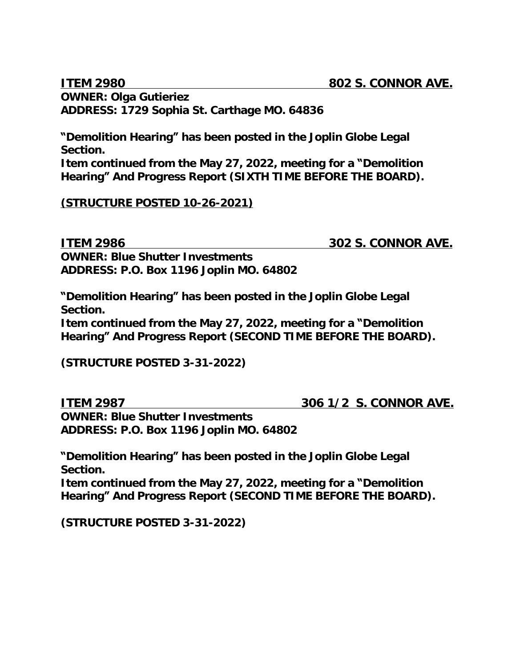**OWNER: Olga Gutieriez ADDRESS: 1729 Sophia St. Carthage MO. 64836**

**"Demolition Hearing" has been posted in the Joplin Globe Legal Section.**

**Item continued from the May 27, 2022, meeting for a "Demolition Hearing" And Progress Report (SIXTH TIME BEFORE THE BOARD).**

**(STRUCTURE POSTED 10-26-2021)**

**ITEM 2986 302 S. CONNOR AVE. OWNER: Blue Shutter Investments ADDRESS: P.O. Box 1196 Joplin MO. 64802**

**"Demolition Hearing" has been posted in the Joplin Globe Legal Section.**

**Item continued from the May 27, 2022, meeting for a "Demolition Hearing" And Progress Report (SECOND TIME BEFORE THE BOARD).**

**(STRUCTURE POSTED 3-31-2022)**

**ITEM 2987 306 1/2 S. CONNOR AVE.**

**OWNER: Blue Shutter Investments ADDRESS: P.O. Box 1196 Joplin MO. 64802**

**"Demolition Hearing" has been posted in the Joplin Globe Legal Section.**

**Item continued from the May 27, 2022, meeting for a "Demolition Hearing" And Progress Report (SECOND TIME BEFORE THE BOARD).**

**(STRUCTURE POSTED 3-31-2022)**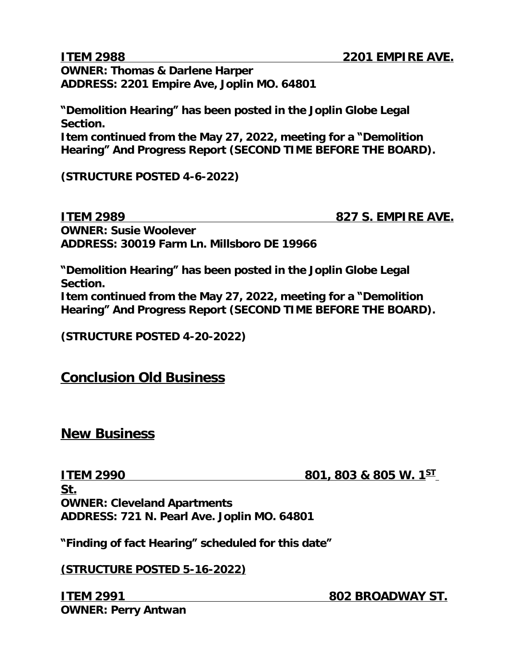**OWNER: Thomas & Darlene Harper ADDRESS: 2201 Empire Ave, Joplin MO. 64801**

**"Demolition Hearing" has been posted in the Joplin Globe Legal Section. Item continued from the May 27, 2022, meeting for a "Demolition** 

**Hearing" And Progress Report (SECOND TIME BEFORE THE BOARD).**

**(STRUCTURE POSTED 4-6-2022)**

**ITEM 2989 827 S. EMPIRE AVE. OWNER: Susie Woolever ADDRESS: 30019 Farm Ln. Millsboro DE 19966**

**"Demolition Hearing" has been posted in the Joplin Globe Legal Section.**

**Item continued from the May 27, 2022, meeting for a "Demolition Hearing" And Progress Report (SECOND TIME BEFORE THE BOARD).**

**(STRUCTURE POSTED 4-20-2022)**

### **Conclusion Old Business**

#### **New Business**

**ITEM 2990 801, 803 & 805 W. 1ST**

**St. OWNER: Cleveland Apartments ADDRESS: 721 N. Pearl Ave. Joplin MO. 64801**

**"Finding of fact Hearing" scheduled for this date"**

**(STRUCTURE POSTED 5-16-2022)**

**ITEM 2991 802 BROADWAY ST. OWNER: Perry Antwan**